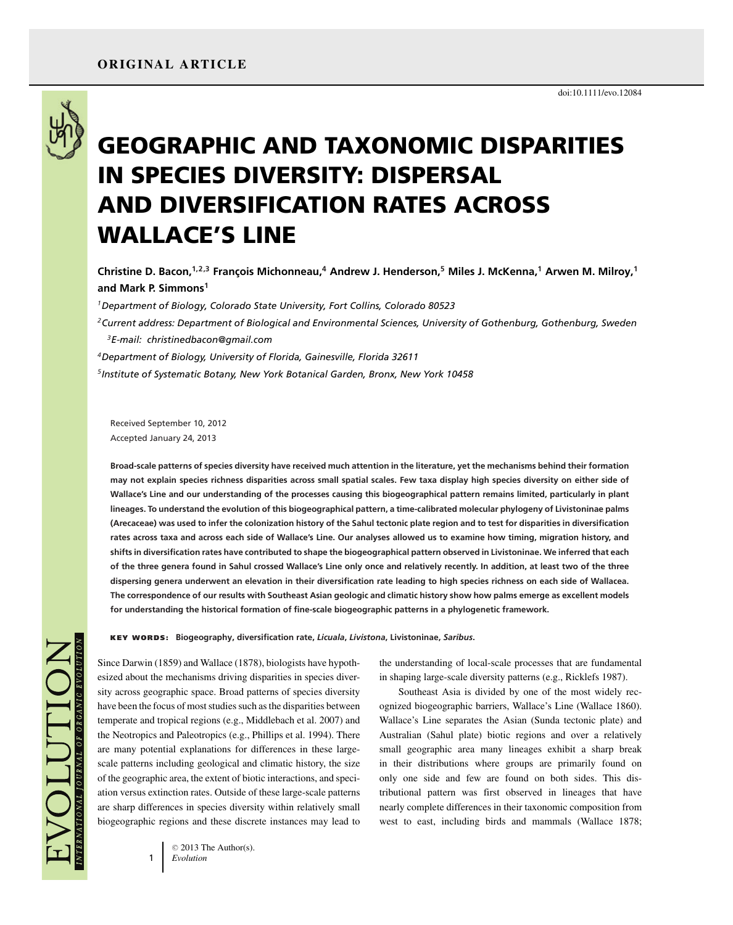

# **GEOGRAPHIC AND TAXONOMIC DISPARITIES IN SPECIES DIVERSITY: DISPERSAL AND DIVERSIFICATION RATES ACROSS WALLACE'S LINE**

**Christine D. Bacon,**<sup>1,2,3</sup> François Michonneau,<sup>4</sup> Andrew J. Henderson,<sup>5</sup> Miles J. McKenna,<sup>1</sup> Arwen M. Milroy,<sup>1</sup> **and Mark P. Simmons1**

*1Department of Biology, Colorado State University, Fort Collins, Colorado 80523*

*2Current address: Department of Biological and Environmental Sciences, University of Gothenburg, Gothenburg, Sweden 3E-mail: christinedbacon@gmail.com*

*4Department of Biology, University of Florida, Gainesville, Florida 32611*

*5Institute of Systematic Botany, New York Botanical Garden, Bronx, New York 10458*

Received September 10, 2012 Accepted January 24, 2013

**Broad-scale patterns of species diversity have received much attention in the literature, yet the mechanisms behind their formation may not explain species richness disparities across small spatial scales. Few taxa display high species diversity on either side of Wallace's Line and our understanding of the processes causing this biogeographical pattern remains limited, particularly in plant lineages. To understand the evolution of this biogeographical pattern, a time-calibrated molecular phylogeny of Livistoninae palms (Arecaceae) was used to infer the colonization history of the Sahul tectonic plate region and to test for disparities in diversification rates across taxa and across each side of Wallace's Line. Our analyses allowed us to examine how timing, migration history, and shifts in diversification rates have contributed to shape the biogeographical pattern observed in Livistoninae. We inferred that each of the three genera found in Sahul crossed Wallace's Line only once and relatively recently. In addition, at least two of the three dispersing genera underwent an elevation in their diversification rate leading to high species richness on each side of Wallacea. The correspondence of our results with Southeast Asian geologic and climatic history show how palms emerge as excellent models for understanding the historical formation of fine-scale biogeographic patterns in a phylogenetic framework.**

**KEY WORDS: Biogeography, diversification rate,** *Licuala***,** *Livistona***, Livistoninae,** *Saribus***.**

Since Darwin (1859) and Wallace (1878), biologists have hypothesized about the mechanisms driving disparities in species diversity across geographic space. Broad patterns of species diversity have been the focus of most studies such as the disparities between temperate and tropical regions (e.g., Middlebach et al. 2007) and the Neotropics and Paleotropics (e.g., Phillips et al. 1994). There are many potential explanations for differences in these largescale patterns including geological and climatic history, the size of the geographic area, the extent of biotic interactions, and speciation versus extinction rates. Outside of these large-scale patterns are sharp differences in species diversity within relatively small biogeographic regions and these discrete instances may lead to

the understanding of local-scale processes that are fundamental in shaping large-scale diversity patterns (e.g., Ricklefs 1987).

Southeast Asia is divided by one of the most widely recognized biogeographic barriers, Wallace's Line (Wallace 1860). Wallace's Line separates the Asian (Sunda tectonic plate) and Australian (Sahul plate) biotic regions and over a relatively small geographic area many lineages exhibit a sharp break in their distributions where groups are primarily found on only one side and few are found on both sides. This distributional pattern was first observed in lineages that have nearly complete differences in their taxonomic composition from west to east, including birds and mammals (Wallace 1878;

1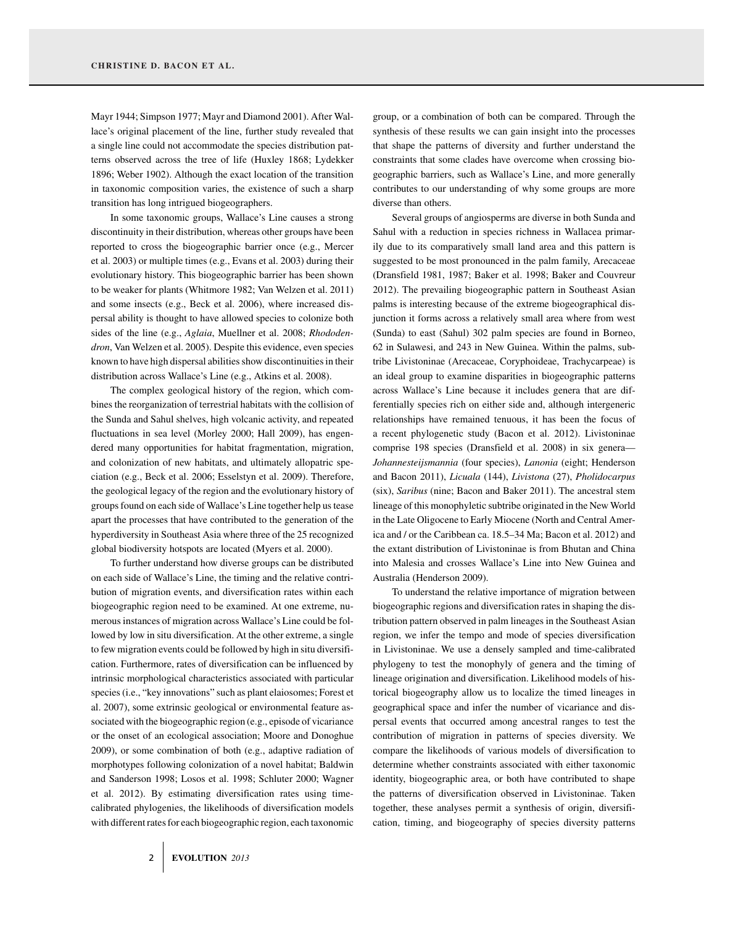Mayr 1944; Simpson 1977; Mayr and Diamond 2001). After Wallace's original placement of the line, further study revealed that a single line could not accommodate the species distribution patterns observed across the tree of life (Huxley 1868; Lydekker 1896; Weber 1902). Although the exact location of the transition in taxonomic composition varies, the existence of such a sharp transition has long intrigued biogeographers.

In some taxonomic groups, Wallace's Line causes a strong discontinuity in their distribution, whereas other groups have been reported to cross the biogeographic barrier once (e.g., Mercer et al. 2003) or multiple times (e.g., Evans et al. 2003) during their evolutionary history. This biogeographic barrier has been shown to be weaker for plants (Whitmore 1982; Van Welzen et al. 2011) and some insects (e.g., Beck et al. 2006), where increased dispersal ability is thought to have allowed species to colonize both sides of the line (e.g., *Aglaia*, Muellner et al. 2008; *Rhododendron*, Van Welzen et al. 2005). Despite this evidence, even species known to have high dispersal abilities show discontinuities in their distribution across Wallace's Line (e.g., Atkins et al. 2008).

The complex geological history of the region, which combines the reorganization of terrestrial habitats with the collision of the Sunda and Sahul shelves, high volcanic activity, and repeated fluctuations in sea level (Morley 2000; Hall 2009), has engendered many opportunities for habitat fragmentation, migration, and colonization of new habitats, and ultimately allopatric speciation (e.g., Beck et al. 2006; Esselstyn et al. 2009). Therefore, the geological legacy of the region and the evolutionary history of groups found on each side of Wallace's Line together help us tease apart the processes that have contributed to the generation of the hyperdiversity in Southeast Asia where three of the 25 recognized global biodiversity hotspots are located (Myers et al. 2000).

To further understand how diverse groups can be distributed on each side of Wallace's Line, the timing and the relative contribution of migration events, and diversification rates within each biogeographic region need to be examined. At one extreme, numerous instances of migration across Wallace's Line could be followed by low in situ diversification. At the other extreme, a single to few migration events could be followed by high in situ diversification. Furthermore, rates of diversification can be influenced by intrinsic morphological characteristics associated with particular species (i.e., "key innovations" such as plant elaiosomes; Forest et al. 2007), some extrinsic geological or environmental feature associated with the biogeographic region (e.g., episode of vicariance or the onset of an ecological association; Moore and Donoghue 2009), or some combination of both (e.g., adaptive radiation of morphotypes following colonization of a novel habitat; Baldwin and Sanderson 1998; Losos et al. 1998; Schluter 2000; Wagner et al. 2012). By estimating diversification rates using timecalibrated phylogenies, the likelihoods of diversification models with different rates for each biogeographic region, each taxonomic

group, or a combination of both can be compared. Through the synthesis of these results we can gain insight into the processes that shape the patterns of diversity and further understand the constraints that some clades have overcome when crossing biogeographic barriers, such as Wallace's Line, and more generally contributes to our understanding of why some groups are more diverse than others.

Several groups of angiosperms are diverse in both Sunda and Sahul with a reduction in species richness in Wallacea primarily due to its comparatively small land area and this pattern is suggested to be most pronounced in the palm family, Arecaceae (Dransfield 1981, 1987; Baker et al. 1998; Baker and Couvreur 2012). The prevailing biogeographic pattern in Southeast Asian palms is interesting because of the extreme biogeographical disjunction it forms across a relatively small area where from west (Sunda) to east (Sahul) 302 palm species are found in Borneo, 62 in Sulawesi, and 243 in New Guinea. Within the palms, subtribe Livistoninae (Arecaceae, Coryphoideae, Trachycarpeae) is an ideal group to examine disparities in biogeographic patterns across Wallace's Line because it includes genera that are differentially species rich on either side and, although intergeneric relationships have remained tenuous, it has been the focus of a recent phylogenetic study (Bacon et al. 2012). Livistoninae comprise 198 species (Dransfield et al. 2008) in six genera— *Johannesteijsmannia* (four species), *Lanonia* (eight; Henderson and Bacon 2011), *Licuala* (144), *Livistona* (27), *Pholidocarpus* (six), *Saribus* (nine; Bacon and Baker 2011). The ancestral stem lineage of this monophyletic subtribe originated in the New World in the Late Oligocene to Early Miocene (North and Central America and / or the Caribbean ca. 18.5–34 Ma; Bacon et al. 2012) and the extant distribution of Livistoninae is from Bhutan and China into Malesia and crosses Wallace's Line into New Guinea and Australia (Henderson 2009).

To understand the relative importance of migration between biogeographic regions and diversification rates in shaping the distribution pattern observed in palm lineages in the Southeast Asian region, we infer the tempo and mode of species diversification in Livistoninae. We use a densely sampled and time-calibrated phylogeny to test the monophyly of genera and the timing of lineage origination and diversification. Likelihood models of historical biogeography allow us to localize the timed lineages in geographical space and infer the number of vicariance and dispersal events that occurred among ancestral ranges to test the contribution of migration in patterns of species diversity. We compare the likelihoods of various models of diversification to determine whether constraints associated with either taxonomic identity, biogeographic area, or both have contributed to shape the patterns of diversification observed in Livistoninae. Taken together, these analyses permit a synthesis of origin, diversification, timing, and biogeography of species diversity patterns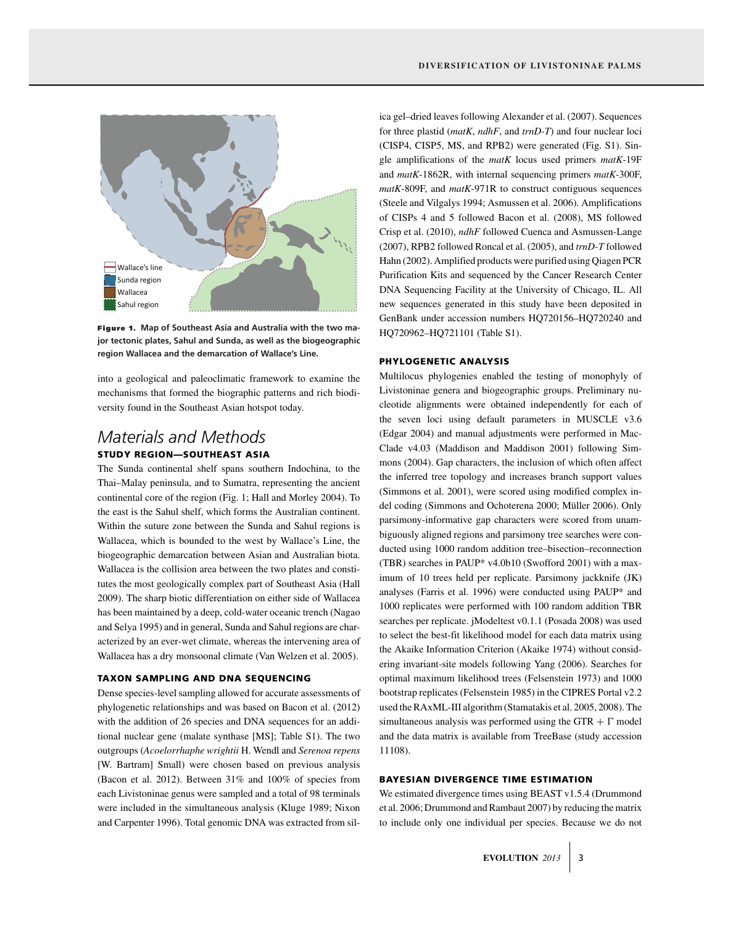

**Figure 1. Map of Southeast Asia and Australia with the two major tectonic plates, Sahul and Sunda, as well as the biogeographic region Wallacea and the demarcation of Wallace's Line.**

into a geological and paleoclimatic framework to examine the mechanisms that formed the biographic patterns and rich biodiversity found in the Southeast Asian hotspot today.

# *Materials and Methods* **STUDY REGION—SOUTHEAST ASIA**

The Sunda continental shelf spans southern Indochina, to the Thai–Malay peninsula, and to Sumatra, representing the ancient continental core of the region (Fig. 1; Hall and Morley 2004). To the east is the Sahul shelf, which forms the Australian continent. Within the suture zone between the Sunda and Sahul regions is Wallacea, which is bounded to the west by Wallace's Line, the biogeographic demarcation between Asian and Australian biota. Wallacea is the collision area between the two plates and constitutes the most geologically complex part of Southeast Asia (Hall 2009). The sharp biotic differentiation on either side of Wallacea has been maintained by a deep, cold-water oceanic trench (Nagao and Selya 1995) and in general, Sunda and Sahul regions are characterized by an ever-wet climate, whereas the intervening area of Wallacea has a dry monsoonal climate (Van Welzen et al. 2005).

### **TAXON SAMPLING AND DNA SEQUENCING**

Dense species-level sampling allowed for accurate assessments of phylogenetic relationships and was based on Bacon et al. (2012) with the addition of 26 species and DNA sequences for an additional nuclear gene (malate synthase [MS]; Table S1). The two outgroups (*Acoelorrhaphe wrightii* H. Wendl and *Serenoa repens* [W. Bartram] Small) were chosen based on previous analysis (Bacon et al. 2012). Between 31% and 100% of species from each Livistoninae genus were sampled and a total of 98 terminals were included in the simultaneous analysis (Kluge 1989; Nixon and Carpenter 1996). Total genomic DNA was extracted from sil-

ica gel–dried leaves following Alexander et al. (2007). Sequences for three plastid (*matK*, *ndhF*, and *trnD-T*) and four nuclear loci (CISP4, CISP5, MS, and RPB2) were generated (Fig. S1). Single amplifications of the *matK* locus used primers *matK*-19F and *matK*-1862R, with internal sequencing primers *matK*-300F, *matK*-809F, and *matK*-971R to construct contiguous sequences (Steele and Vilgalys 1994; Asmussen et al. 2006). Amplifications of CISPs 4 and 5 followed Bacon et al. (2008), MS followed Crisp et al. (2010), *ndhF* followed Cuenca and Asmussen-Lange (2007), RPB2 followed Roncal et al. (2005), and *trnD-T* followed Hahn (2002). Amplified products were purified using Qiagen PCR Purification Kits and sequenced by the Cancer Research Center DNA Sequencing Facility at the University of Chicago, IL. All new sequences generated in this study have been deposited in GenBank under accession numbers HQ720156–HQ720240 and HQ720962–HQ721101 (Table S1).

### **PHYLOGENETIC ANALYSIS**

Multilocus phylogenies enabled the testing of monophyly of Livistoninae genera and biogeographic groups. Preliminary nucleotide alignments were obtained independently for each of the seven loci using default parameters in MUSCLE v3.6 (Edgar 2004) and manual adjustments were performed in Mac-Clade v4.03 (Maddison and Maddison 2001) following Simmons (2004). Gap characters, the inclusion of which often affect the inferred tree topology and increases branch support values (Simmons et al. 2001), were scored using modified complex indel coding (Simmons and Ochoterena 2000; Müller 2006). Only parsimony-informative gap characters were scored from unambiguously aligned regions and parsimony tree searches were conducted using 1000 random addition tree–bisection–reconnection (TBR) searches in PAUP\* v4.0b10 (Swofford 2001) with a maximum of 10 trees held per replicate. Parsimony jackknife (JK) analyses (Farris et al. 1996) were conducted using PAUP\* and 1000 replicates were performed with 100 random addition TBR searches per replicate. jModeltest v0.1.1 (Posada 2008) was used to select the best-fit likelihood model for each data matrix using the Akaike Information Criterion (Akaike 1974) without considering invariant-site models following Yang (2006). Searches for optimal maximum likelihood trees (Felsenstein 1973) and 1000 bootstrap replicates (Felsenstein 1985) in the CIPRES Portal v2.2 used the RAxML-III algorithm (Stamatakis et al. 2005, 2008). The simultaneous analysis was performed using the GTR  $+ \Gamma$  model and the data matrix is available from TreeBase (study accession 11108).

### **BAYESIAN DIVERGENCE TIME ESTIMATION**

We estimated divergence times using BEAST v1.5.4 (Drummond et al. 2006; Drummond and Rambaut 2007) by reducing the matrix to include only one individual per species. Because we do not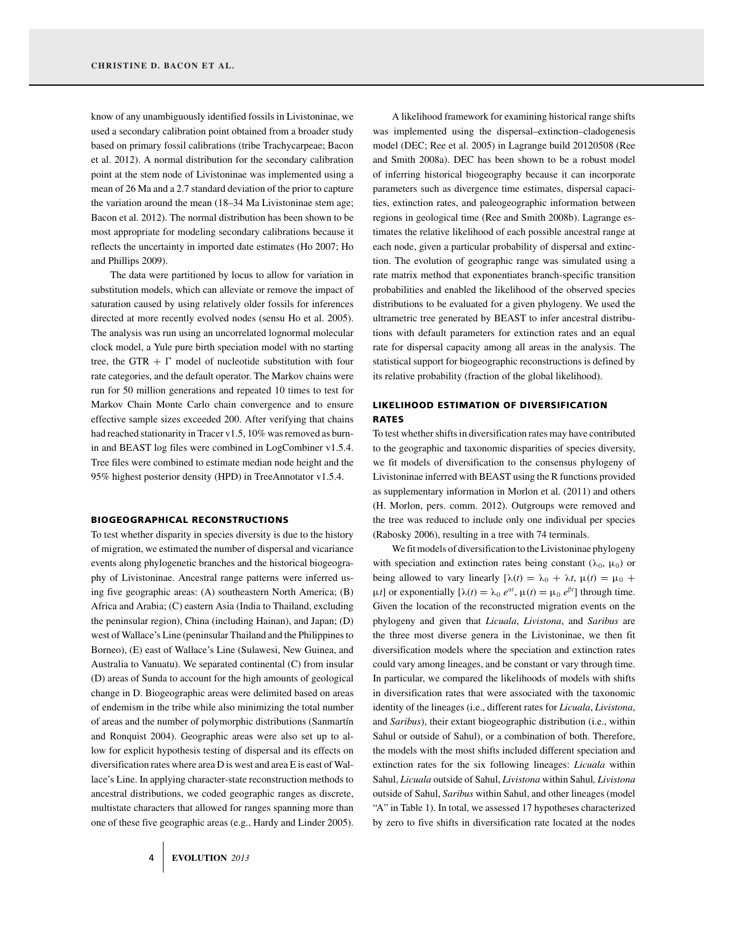know of any unambiguously identified fossils in Livistoninae, we used a secondary calibration point obtained from a broader study based on primary fossil calibrations (tribe Trachycarpeae; Bacon et al. 2012). A normal distribution for the secondary calibration point at the stem node of Livistoninae was implemented using a mean of 26 Ma and a 2.7 standard deviation of the prior to capture the variation around the mean (18–34 Ma Livistoninae stem age; Bacon et al. 2012). The normal distribution has been shown to be most appropriate for modeling secondary calibrations because it reflects the uncertainty in imported date estimates (Ho 2007; Ho and Phillips 2009).

The data were partitioned by locus to allow for variation in substitution models, which can alleviate or remove the impact of saturation caused by using relatively older fossils for inferences directed at more recently evolved nodes (sensu Ho et al. 2005). The analysis was run using an uncorrelated lognormal molecular clock model, a Yule pure birth speciation model with no starting tree, the GTR  $+ \Gamma$  model of nucleotide substitution with four rate categories, and the default operator. The Markov chains were run for 50 million generations and repeated 10 times to test for Markov Chain Monte Carlo chain convergence and to ensure effective sample sizes exceeded 200. After verifying that chains had reached stationarity in Tracer v1.5, 10% was removed as burnin and BEAST log files were combined in LogCombiner v1.5.4. Tree files were combined to estimate median node height and the 95% highest posterior density (HPD) in TreeAnnotator v1.5.4.

### **BIOGEOGRAPHICAL RECONSTRUCTIONS**

To test whether disparity in species diversity is due to the history of migration, we estimated the number of dispersal and vicariance events along phylogenetic branches and the historical biogeography of Livistoninae. Ancestral range patterns were inferred using five geographic areas: (A) southeastern North America; (B) Africa and Arabia; (C) eastern Asia (India to Thailand, excluding the peninsular region), China (including Hainan), and Japan; (D) west of Wallace's Line (peninsular Thailand and the Philippines to Borneo), (E) east of Wallace's Line (Sulawesi, New Guinea, and Australia to Vanuatu). We separated continental (C) from insular (D) areas of Sunda to account for the high amounts of geological change in D. Biogeographic areas were delimited based on areas of endemism in the tribe while also minimizing the total number of areas and the number of polymorphic distributions (Sanmartín and Ronquist 2004). Geographic areas were also set up to allow for explicit hypothesis testing of dispersal and its effects on diversification rates where area D is west and area E is east of Wallace's Line. In applying character-state reconstruction methods to ancestral distributions, we coded geographic ranges as discrete, multistate characters that allowed for ranges spanning more than one of these five geographic areas (e.g., Hardy and Linder 2005). was implemented using the dispersal–extinction–cladogenesis model (DEC; Ree et al. 2005) in Lagrange build 20120508 (Ree and Smith 2008a). DEC has been shown to be a robust model of inferring historical biogeography because it can incorporate parameters such as divergence time estimates, dispersal capacities, extinction rates, and paleogeographic information between regions in geological time (Ree and Smith 2008b). Lagrange estimates the relative likelihood of each possible ancestral range at each node, given a particular probability of dispersal and extinction. The evolution of geographic range was simulated using a rate matrix method that exponentiates branch-specific transition probabilities and enabled the likelihood of the observed species distributions to be evaluated for a given phylogeny. We used the ultrametric tree generated by BEAST to infer ancestral distributions with default parameters for extinction rates and an equal rate for dispersal capacity among all areas in the analysis. The statistical support for biogeographic reconstructions is defined by its relative probability (fraction of the global likelihood).

A likelihood framework for examining historical range shifts

## **LIKELIHOOD ESTIMATION OF DIVERSIFICATION RATES**

To test whether shifts in diversification rates may have contributed to the geographic and taxonomic disparities of species diversity, we fit models of diversification to the consensus phylogeny of Livistoninae inferred with BEAST using the R functions provided as supplementary information in Morlon et al. (2011) and others (H. Morlon, pers. comm. 2012). Outgroups were removed and the tree was reduced to include only one individual per species (Rabosky 2006), resulting in a tree with 74 terminals.

We fit models of diversification to the Livistoninae phylogeny with speciation and extinction rates being constant ( $\lambda_0$ ,  $\mu_0$ ) or being allowed to vary linearly  $[\lambda(t) = \lambda_0 + \lambda t, \mu(t) = \mu_0 +$  $μt]$  or exponentially  $[λ(t) = λ_0 e^{\alpha t}, μ(t) = μ_0 e^{\beta t}]$  through time. Given the location of the reconstructed migration events on the phylogeny and given that *Licuala*, *Livistona*, and *Saribus* are the three most diverse genera in the Livistoninae, we then fit diversification models where the speciation and extinction rates could vary among lineages, and be constant or vary through time. In particular, we compared the likelihoods of models with shifts in diversification rates that were associated with the taxonomic identity of the lineages (i.e., different rates for *Licuala*, *Livistona*, and *Saribus*), their extant biogeographic distribution (i.e., within Sahul or outside of Sahul), or a combination of both. Therefore, the models with the most shifts included different speciation and extinction rates for the six following lineages: *Licuala* within Sahul, *Licuala* outside of Sahul, *Livistona* within Sahul*, Livistona* outside of Sahul, *Saribus* within Sahul, and other lineages (model "A" in Table 1). In total, we assessed 17 hypotheses characterized by zero to five shifts in diversification rate located at the nodes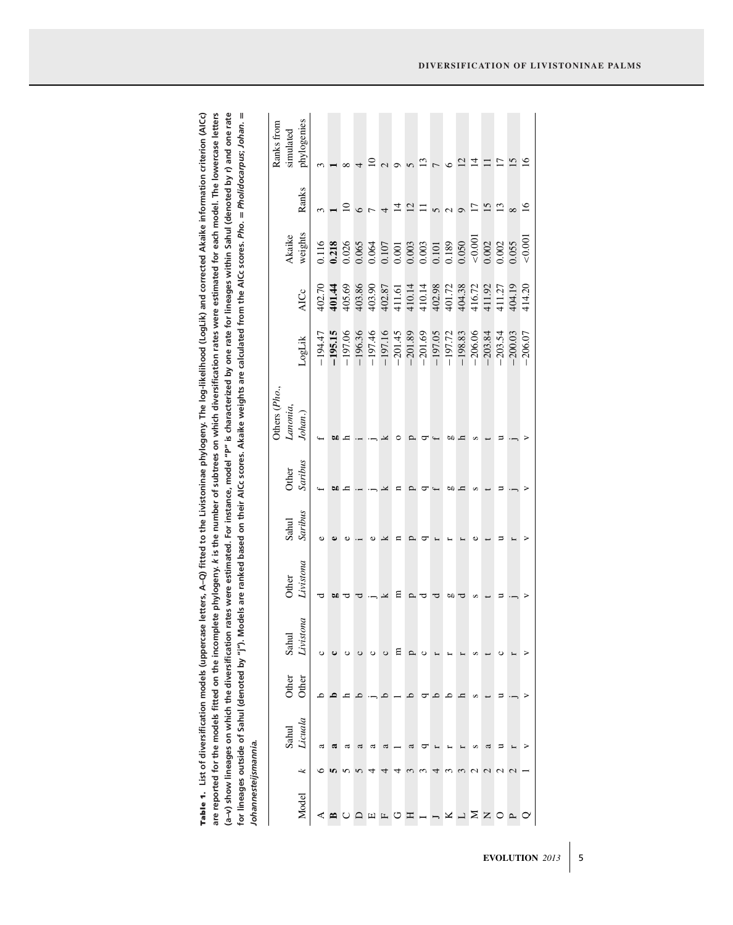| Johannesteijsmannia. |                  |         |                          |           |           |         |                |               |                                                  |      |                                                                                                                                                                                                                                                                       |                                        |                |
|----------------------|------------------|---------|--------------------------|-----------|-----------|---------|----------------|---------------|--------------------------------------------------|------|-----------------------------------------------------------------------------------------------------------------------------------------------------------------------------------------------------------------------------------------------------------------------|----------------------------------------|----------------|
|                      |                  |         |                          |           |           |         |                | Others (Pho., |                                                  |      |                                                                                                                                                                                                                                                                       |                                        | Ranks from     |
|                      |                  | Sahul   | Other                    | Sahul     | ther<br>Ò | Sahul   | Other          | Lanonia,      |                                                  |      | Akaike                                                                                                                                                                                                                                                                |                                        | simulated      |
| Model                | k                | Licuala | Other                    | Livistona | Livistona | Saribus | <b>Saribus</b> | $John$ .)     | LogLik                                           | AICc | weights                                                                                                                                                                                                                                                               | Ranks                                  | phylogenies    |
| ⋖                    | ७                | ದ       | $\overline{\phantom{0}}$ | ပ         |           |         |                |               | $-194.47$                                        |      | 0.116<br>0.218                                                                                                                                                                                                                                                        |                                        |                |
|                      | n                |         |                          |           | 60        |         |                |               | $-195.15$                                        |      |                                                                                                                                                                                                                                                                       |                                        |                |
|                      |                  | ದ       |                          |           |           |         |                |               | $-197.06$                                        |      |                                                                                                                                                                                                                                                                       | $\overline{10}$                        |                |
|                      | 5                | ದ       |                          |           |           |         |                |               | $-196.36$                                        |      |                                                                                                                                                                                                                                                                       | $\circ$                                |                |
| Ш                    |                  |         |                          |           |           |         |                |               | $-197.46$<br>$-197.16$                           |      |                                                                                                                                                                                                                                                                       | $\overline{r}$ +                       | ≘              |
| 匚                    | 4                | ದ       | ◠                        | ပ         | ≚         |         |                |               |                                                  |      |                                                                                                                                                                                                                                                                       |                                        |                |
| ↺                    |                  |         |                          | 둅         | Ξ         |         |                |               |                                                  |      |                                                                                                                                                                                                                                                                       |                                        |                |
| Ξ                    |                  | ದ       | c                        | p         |           |         |                |               | $-201.45$<br>$-201.89$                           |      | $\begin{array}{l} 0.026\\ 0.065\\ 0.064\\ 0.107\\ 0.001\\ 0.003\\ 0.003\\ 0.003\\ 0.003\\ 0.003\\ 0.003\\ 0.0002\\ 0.002\\ 0.003\\ 0.003\\ 0.003\\ 0.003\\ 0.003\\ 0.003\\ 0.003\\ 0.003\\ 0.003\\ 0.003\\ 0.003\\ 0.003\\ 0.003\\ 0.003\\ 0.003\\ 0.003\\ 0.003\\ 0$ | $\begin{array}{c} 14 \\ 1 \end{array}$ |                |
|                      |                  | ヮ       |                          | ပ         |           |         |                |               |                                                  |      |                                                                                                                                                                                                                                                                       |                                        | 13             |
|                      |                  |         | C                        |           |           |         |                |               |                                                  |      |                                                                                                                                                                                                                                                                       |                                        | $\overline{a}$ |
| ⊻                    |                  |         | ⊂                        |           | ЬΩ        |         |                |               | $-201.69$<br>$-197.05$<br>$-197.72$<br>$-198.83$ |      |                                                                                                                                                                                                                                                                       | 500                                    |                |
|                      |                  |         |                          |           |           |         |                |               |                                                  |      |                                                                                                                                                                                                                                                                       |                                        | 12             |
| ⋝                    | 4                | S       | s                        | s         | s         |         | n              |               | $-206.06$<br>$-203.84$                           |      |                                                                                                                                                                                                                                                                       | $\frac{17}{15}$                        | 14             |
| Z                    |                  |         |                          |           |           |         |                |               |                                                  |      |                                                                                                                                                                                                                                                                       |                                        |                |
|                      | $\mathrel{\sim}$ |         |                          | ပ         |           |         |                |               | $-203.54$                                        |      |                                                                                                                                                                                                                                                                       |                                        | 17             |
| ≏                    |                  |         |                          |           |           |         |                |               | $-200.03$                                        |      |                                                                                                                                                                                                                                                                       |                                        | 15             |
|                      |                  |         |                          |           |           |         |                |               | $-206.07$                                        |      | 0.001                                                                                                                                                                                                                                                                 | $\overline{16}$                        | 16             |

Table 1. List of diversification models (uppercase letters, A-Q) fitted to the Livistoninae phylogeny. The log-likelihood (LogLik) and corrected Akaike information criterion (AICc) are reported for the models fitted on the incomplete phylogeny. *k* is the number of subtrees on which diversification rates were estimated for each model. The lowercase letters (a-v) show lineages on which the diversification rates were estimated. For instance, model "P" is characterized by one rate for lineages within Sahul (denoted by r) and one rate for lineages outside of Sahul (denoted by "i"). Models are ranked based on their AICc scores. Akaike weights are calculated from the AICc scores. Pho. = Pholidocarpus; Johan. = Table 1. List of diversification models (uppercase letters, A-Q) fitted to the Livistoninae phylogeny. The log-likelihood (LogLik) and corrected Akaike information criterion (AICc) are reported for the models fitted on the incomplete phylogeny. A is the number of subtrees on which diversification rates were estimated for each model. The lowercase letters (a-v) show lineages on which the diversification rates were estimated. For instance, model "P" is characterized by one rate for lineages within Sahul (denoted by r) and one rate for lineages outside of Sahul (denoted by "j"). Models are ranked based on their AlCc scores. Akaike weights are calculated from the AlCc scores. Pho. = Pholidocarpus; Johan. =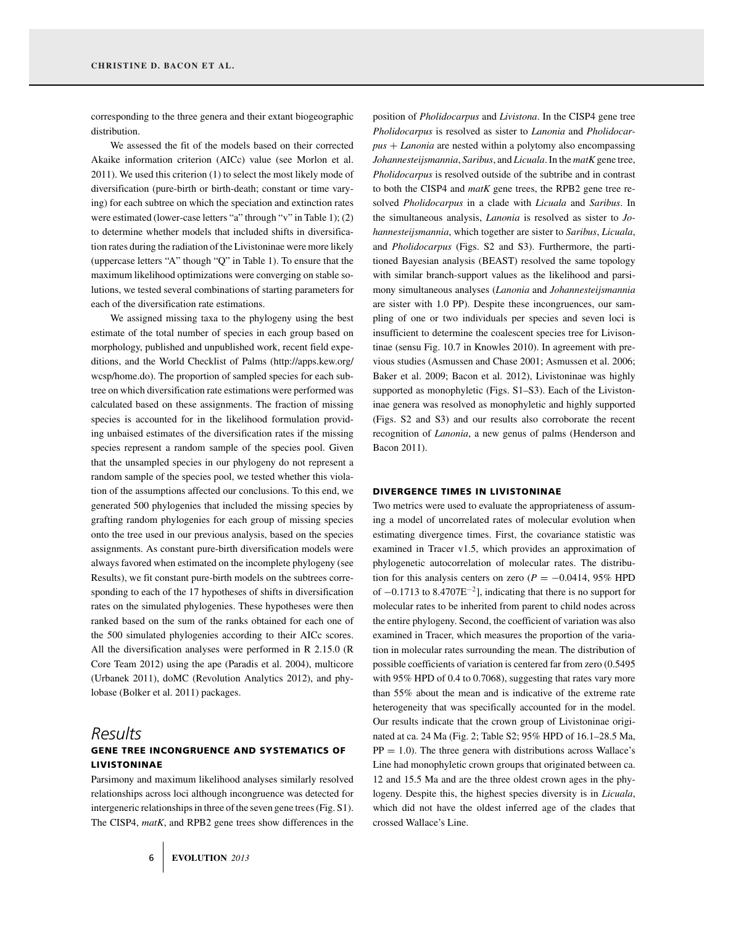corresponding to the three genera and their extant biogeographic distribution.

We assessed the fit of the models based on their corrected Akaike information criterion (AICc) value (see Morlon et al. 2011). We used this criterion (1) to select the most likely mode of diversification (pure-birth or birth-death; constant or time varying) for each subtree on which the speciation and extinction rates were estimated (lower-case letters "a" through "v" in Table 1); (2) to determine whether models that included shifts in diversification rates during the radiation of the Livistoninae were more likely (uppercase letters "A" though "Q" in Table 1). To ensure that the maximum likelihood optimizations were converging on stable solutions, we tested several combinations of starting parameters for each of the diversification rate estimations.

We assigned missing taxa to the phylogeny using the best estimate of the total number of species in each group based on morphology, published and unpublished work, recent field expeditions, and the World Checklist of Palms (http://apps.kew.org/ wcsp/home.do). The proportion of sampled species for each subtree on which diversification rate estimations were performed was calculated based on these assignments. The fraction of missing species is accounted for in the likelihood formulation providing unbaised estimates of the diversification rates if the missing species represent a random sample of the species pool. Given that the unsampled species in our phylogeny do not represent a random sample of the species pool, we tested whether this violation of the assumptions affected our conclusions. To this end, we generated 500 phylogenies that included the missing species by grafting random phylogenies for each group of missing species onto the tree used in our previous analysis, based on the species assignments. As constant pure-birth diversification models were always favored when estimated on the incomplete phylogeny (see Results), we fit constant pure-birth models on the subtrees corresponding to each of the 17 hypotheses of shifts in diversification rates on the simulated phylogenies. These hypotheses were then ranked based on the sum of the ranks obtained for each one of the 500 simulated phylogenies according to their AICc scores. All the diversification analyses were performed in R 2.15.0 (R Core Team 2012) using the ape (Paradis et al. 2004), multicore (Urbanek 2011), doMC (Revolution Analytics 2012), and phylobase (Bolker et al. 2011) packages.

# *Results* **GENE TREE INCONGRUENCE AND SYSTEMATICS OF LIVISTONINAE**

Parsimony and maximum likelihood analyses similarly resolved relationships across loci although incongruence was detected for intergeneric relationships in three of the seven gene trees (Fig. S1). The CISP4, *matK*, and RPB2 gene trees show differences in the

position of *Pholidocarpus* and *Livistona*. In the CISP4 gene tree *Pholidocarpus* is resolved as sister to *Lanonia* and *Pholidocarpus* + *Lanonia* are nested within a polytomy also encompassing *Johannesteijsmannia*, *Saribus*, and *Licuala*. In the *matK*gene tree, *Pholidocarpus* is resolved outside of the subtribe and in contrast to both the CISP4 and *matK* gene trees, the RPB2 gene tree resolved *Pholidocarpus* in a clade with *Licuala* and *Saribus*. In the simultaneous analysis, *Lanonia* is resolved as sister to *Johannesteijsmannia*, which together are sister to *Saribus*, *Licuala*, and *Pholidocarpus* (Figs. S2 and S3). Furthermore, the partitioned Bayesian analysis (BEAST) resolved the same topology with similar branch-support values as the likelihood and parsimony simultaneous analyses (*Lanonia* and *Johannesteijsmannia* are sister with 1.0 PP). Despite these incongruences, our sampling of one or two individuals per species and seven loci is insufficient to determine the coalescent species tree for Livisontinae (sensu Fig. 10.7 in Knowles 2010). In agreement with previous studies (Asmussen and Chase 2001; Asmussen et al. 2006; Baker et al. 2009; Bacon et al. 2012), Livistoninae was highly supported as monophyletic (Figs. S1–S3). Each of the Livistoninae genera was resolved as monophyletic and highly supported (Figs. S2 and S3) and our results also corroborate the recent recognition of *Lanonia*, a new genus of palms (Henderson and Bacon 2011).

### **DIVERGENCE TIMES IN LIVISTONINAE**

Two metrics were used to evaluate the appropriateness of assuming a model of uncorrelated rates of molecular evolution when estimating divergence times. First, the covariance statistic was examined in Tracer v1.5, which provides an approximation of phylogenetic autocorrelation of molecular rates. The distribution for this analysis centers on zero ( $P = -0.0414$ , 95% HPD of <sup>−</sup>0.1713 to 8.4707E−2], indicating that there is no support for molecular rates to be inherited from parent to child nodes across the entire phylogeny. Second, the coefficient of variation was also examined in Tracer, which measures the proportion of the variation in molecular rates surrounding the mean. The distribution of possible coefficients of variation is centered far from zero (0.5495 with 95% HPD of 0.4 to 0.7068), suggesting that rates vary more than 55% about the mean and is indicative of the extreme rate heterogeneity that was specifically accounted for in the model. Our results indicate that the crown group of Livistoninae originated at ca. 24 Ma (Fig. 2; Table S2; 95% HPD of 16.1–28.5 Ma,  $PP = 1.0$ ). The three genera with distributions across Wallace's Line had monophyletic crown groups that originated between ca. 12 and 15.5 Ma and are the three oldest crown ages in the phylogeny. Despite this, the highest species diversity is in *Licuala*, which did not have the oldest inferred age of the clades that crossed Wallace's Line.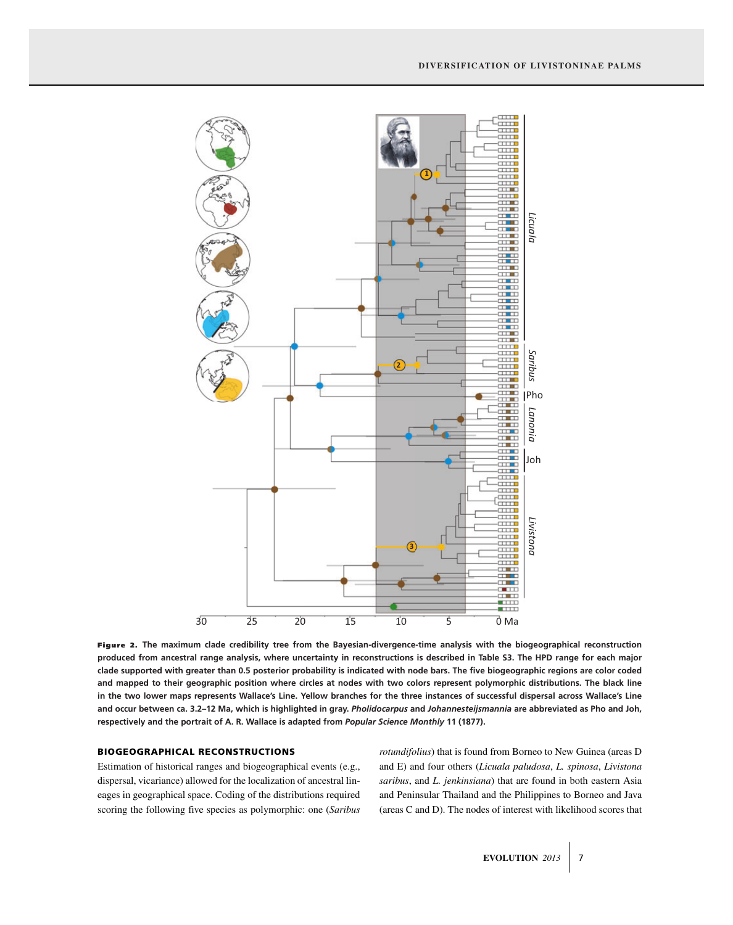

**Figure 2. The maximum clade credibility tree from the Bayesian-divergence-time analysis with the biogeographical reconstruction produced from ancestral range analysis, where uncertainty in reconstructions is described in Table S3. The HPD range for each major clade supported with greater than 0.5 posterior probability is indicated with node bars. The five biogeographic regions are color coded and mapped to their geographic position where circles at nodes with two colors represent polymorphic distributions. The black line in the two lower maps represents Wallace's Line. Yellow branches for the three instances of successful dispersal across Wallace's Line and occur between ca. 3.2–12 Ma, which is highlighted in gray.** *Pholidocarpus* **and** *Johannesteijsmannia* **are abbreviated as Pho and Joh, respectively and the portrait of A. R. Wallace is adapted from** *Popular Science Monthly* **11 (1877).**

#### **BIOGEOGRAPHICAL RECONSTRUCTIONS**

Estimation of historical ranges and biogeographical events (e.g., dispersal, vicariance) allowed for the localization of ancestral lineages in geographical space. Coding of the distributions required scoring the following five species as polymorphic: one (*Saribus* *rotundifolius*) that is found from Borneo to New Guinea (areas D and E) and four others (*Licuala paludosa*, *L. spinosa*, *Livistona saribus*, and *L. jenkinsiana*) that are found in both eastern Asia and Peninsular Thailand and the Philippines to Borneo and Java (areas C and D). The nodes of interest with likelihood scores that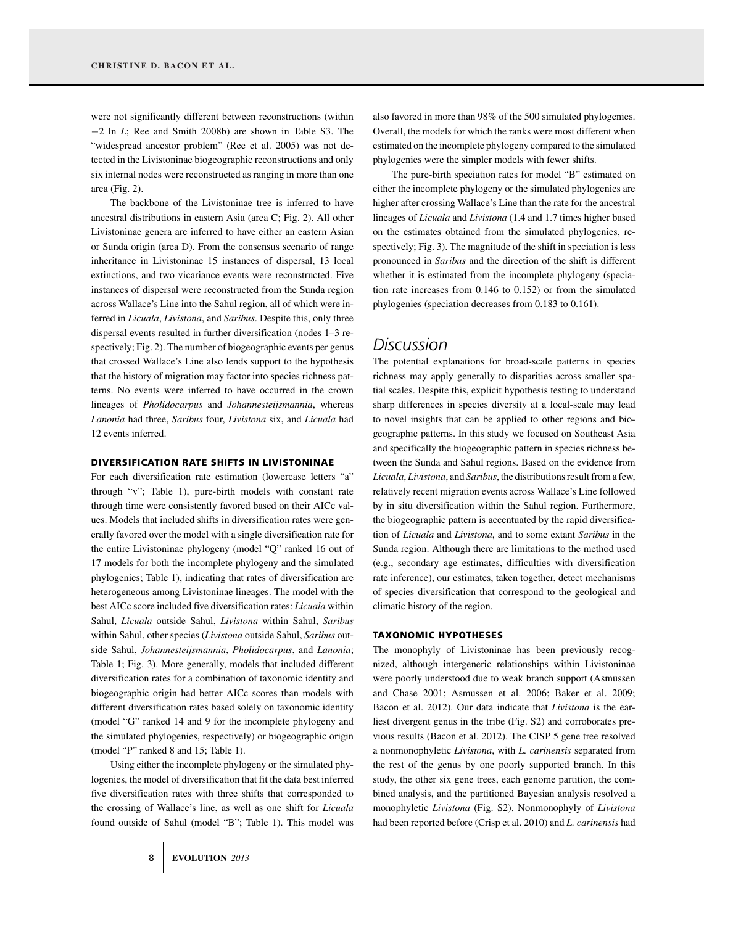were not significantly different between reconstructions (within −2 ln *L*; Ree and Smith 2008b) are shown in Table S3. The "widespread ancestor problem" (Ree et al. 2005) was not detected in the Livistoninae biogeographic reconstructions and only six internal nodes were reconstructed as ranging in more than one area (Fig. 2).

The backbone of the Livistoninae tree is inferred to have ancestral distributions in eastern Asia (area C; Fig. 2). All other Livistoninae genera are inferred to have either an eastern Asian or Sunda origin (area D). From the consensus scenario of range inheritance in Livistoninae 15 instances of dispersal, 13 local extinctions, and two vicariance events were reconstructed. Five instances of dispersal were reconstructed from the Sunda region across Wallace's Line into the Sahul region, all of which were inferred in *Licuala*, *Livistona*, and *Saribus*. Despite this, only three dispersal events resulted in further diversification (nodes 1–3 respectively; Fig. 2). The number of biogeographic events per genus that crossed Wallace's Line also lends support to the hypothesis that the history of migration may factor into species richness patterns. No events were inferred to have occurred in the crown lineages of *Pholidocarpus* and *Johannesteijsmannia*, whereas *Lanonia* had three, *Saribus* four, *Livistona* six, and *Licuala* had 12 events inferred.

### **DIVERSIFICATION RATE SHIFTS IN LIVISTONINAE**

For each diversification rate estimation (lowercase letters "a" through "v"; Table 1), pure-birth models with constant rate through time were consistently favored based on their AICc values. Models that included shifts in diversification rates were generally favored over the model with a single diversification rate for the entire Livistoninae phylogeny (model "Q" ranked 16 out of 17 models for both the incomplete phylogeny and the simulated phylogenies; Table 1), indicating that rates of diversification are heterogeneous among Livistoninae lineages. The model with the best AICc score included five diversification rates: *Licuala* within Sahul, *Licuala* outside Sahul, *Livistona* within Sahul, *Saribus* within Sahul, other species (*Livistona* outside Sahul, *Saribus* outside Sahul, *Johannesteijsmannia*, *Pholidocarpus*, and *Lanonia*; Table 1; Fig. 3). More generally, models that included different diversification rates for a combination of taxonomic identity and biogeographic origin had better AICc scores than models with different diversification rates based solely on taxonomic identity (model "G" ranked 14 and 9 for the incomplete phylogeny and the simulated phylogenies, respectively) or biogeographic origin (model "P" ranked 8 and 15; Table 1).

Using either the incomplete phylogeny or the simulated phylogenies, the model of diversification that fit the data best inferred five diversification rates with three shifts that corresponded to the crossing of Wallace's line, as well as one shift for *Licuala* found outside of Sahul (model "B"; Table 1). This model was

The pure-birth speciation rates for model "B" estimated on either the incomplete phylogeny or the simulated phylogenies are higher after crossing Wallace's Line than the rate for the ancestral lineages of *Licuala* and *Livistona* (1.4 and 1.7 times higher based on the estimates obtained from the simulated phylogenies, respectively; Fig. 3). The magnitude of the shift in speciation is less pronounced in *Saribus* and the direction of the shift is different whether it is estimated from the incomplete phylogeny (speciation rate increases from 0.146 to 0.152) or from the simulated phylogenies (speciation decreases from 0.183 to 0.161).

# *Discussion*

The potential explanations for broad-scale patterns in species richness may apply generally to disparities across smaller spatial scales. Despite this, explicit hypothesis testing to understand sharp differences in species diversity at a local-scale may lead to novel insights that can be applied to other regions and biogeographic patterns. In this study we focused on Southeast Asia and specifically the biogeographic pattern in species richness between the Sunda and Sahul regions. Based on the evidence from *Licuala*, *Livistona*, and *Saribus*, the distributions result from a few, relatively recent migration events across Wallace's Line followed by in situ diversification within the Sahul region. Furthermore, the biogeographic pattern is accentuated by the rapid diversification of *Licuala* and *Livistona*, and to some extant *Saribus* in the Sunda region. Although there are limitations to the method used (e.g., secondary age estimates, difficulties with diversification rate inference), our estimates, taken together, detect mechanisms of species diversification that correspond to the geological and climatic history of the region.

### **TAXONOMIC HYPOTHESES**

The monophyly of Livistoninae has been previously recognized, although intergeneric relationships within Livistoninae were poorly understood due to weak branch support (Asmussen and Chase 2001; Asmussen et al. 2006; Baker et al. 2009; Bacon et al. 2012). Our data indicate that *Livistona* is the earliest divergent genus in the tribe (Fig. S2) and corroborates previous results (Bacon et al. 2012). The CISP 5 gene tree resolved a nonmonophyletic *Livistona*, with *L. carinensis* separated from the rest of the genus by one poorly supported branch. In this study, the other six gene trees, each genome partition, the combined analysis, and the partitioned Bayesian analysis resolved a monophyletic *Livistona* (Fig. S2). Nonmonophyly of *Livistona* had been reported before (Crisp et al. 2010) and *L. carinensis* had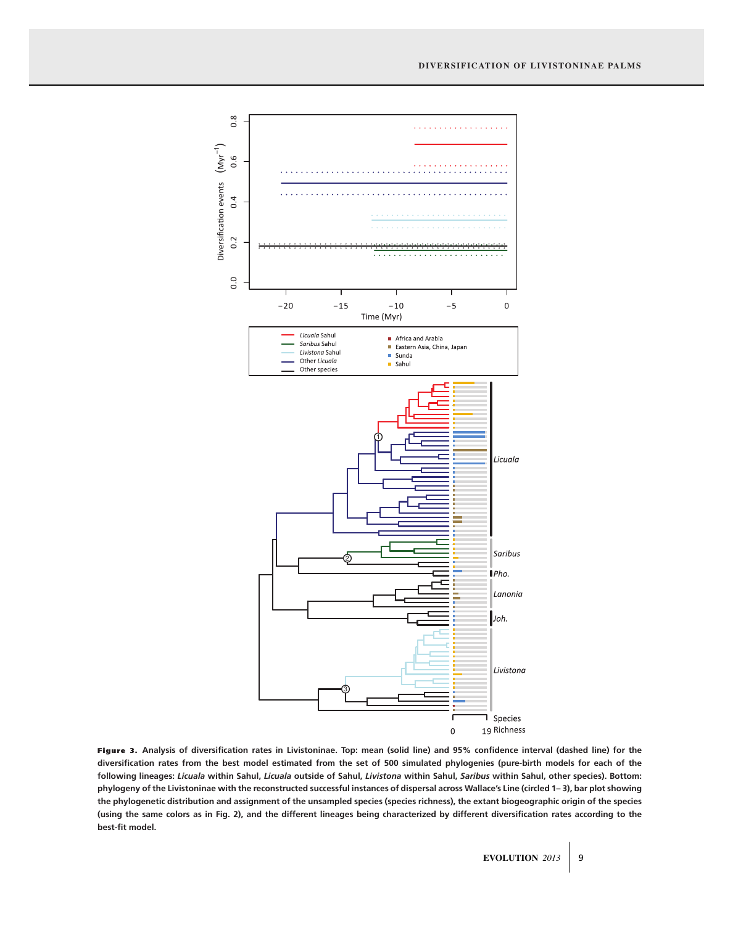

**Figure 3. Analysis of diversification rates in Livistoninae. Top: mean (solid line) and 95% confidence interval (dashed line) for the diversification rates from the best model estimated from the set of 500 simulated phylogenies (pure-birth models for each of the following lineages:** *Licuala* **within Sahul,** *Licuala* **outside of Sahul,** *Livistona* **within Sahul,** *Saribus* **within Sahul, other species). Bottom: phylogeny of the Livistoninae with the reconstructed successful instances of dispersal across Wallace's Line (circled 1– 3), bar plot showing the phylogenetic distribution and assignment of the unsampled species (species richness), the extant biogeographic origin of the species (using the same colors as in Fig. 2), and the different lineages being characterized by different diversification rates according to the best-fit model.**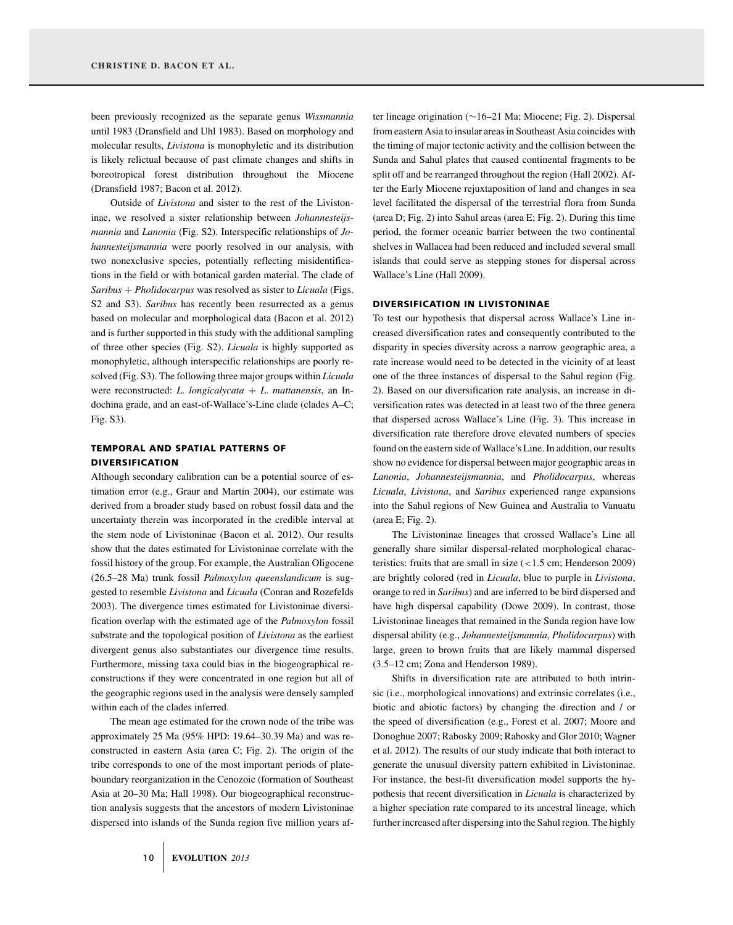been previously recognized as the separate genus *Wissmannia* until 1983 (Dransfield and Uhl 1983). Based on morphology and molecular results, *Livistona* is monophyletic and its distribution is likely relictual because of past climate changes and shifts in boreotropical forest distribution throughout the Miocene (Dransfield 1987; Bacon et al. 2012).

Outside of *Livistona* and sister to the rest of the Livistoninae, we resolved a sister relationship between *Johannesteijsmannia* and *Lanonia* (Fig. S2). Interspecific relationships of *Johannesteijsmannia* were poorly resolved in our analysis, with two nonexclusive species, potentially reflecting misidentifications in the field or with botanical garden material. The clade of *Saribus* + *Pholidocarpus* was resolved as sister to *Licuala* (Figs. S2 and S3). *Saribus* has recently been resurrected as a genus based on molecular and morphological data (Bacon et al. 2012) and is further supported in this study with the additional sampling of three other species (Fig. S2). *Licuala* is highly supported as monophyletic, although interspecific relationships are poorly resolved (Fig. S3). The following three major groups within *Licuala* were reconstructed: *L*. *longicalycata* + *L*. *mattanensis*, an Indochina grade, and an east-of-Wallace's-Line clade (clades A–C; Fig. S3).

### **TEMPORAL AND SPATIAL PATTERNS OF DIVERSIFICATION**

Although secondary calibration can be a potential source of estimation error (e.g., Graur and Martin 2004), our estimate was derived from a broader study based on robust fossil data and the uncertainty therein was incorporated in the credible interval at the stem node of Livistoninae (Bacon et al. 2012). Our results show that the dates estimated for Livistoninae correlate with the fossil history of the group. For example, the Australian Oligocene (26.5–28 Ma) trunk fossil *Palmoxylon queenslandicum* is suggested to resemble *Livistona* and *Licuala* (Conran and Rozefelds 2003). The divergence times estimated for Livistoninae diversification overlap with the estimated age of the *Palmoxylon* fossil substrate and the topological position of *Livistona* as the earliest divergent genus also substantiates our divergence time results. Furthermore, missing taxa could bias in the biogeographical reconstructions if they were concentrated in one region but all of the geographic regions used in the analysis were densely sampled within each of the clades inferred.

The mean age estimated for the crown node of the tribe was approximately 25 Ma (95% HPD: 19.64–30.39 Ma) and was reconstructed in eastern Asia (area C; Fig. 2). The origin of the tribe corresponds to one of the most important periods of plateboundary reorganization in the Cenozoic (formation of Southeast Asia at 20–30 Ma; Hall 1998). Our biogeographical reconstruction analysis suggests that the ancestors of modern Livistoninae dispersed into islands of the Sunda region five million years after lineage origination (∼16–21 Ma; Miocene; Fig. 2). Dispersal from eastern Asia to insular areas in Southeast Asia coincides with the timing of major tectonic activity and the collision between the Sunda and Sahul plates that caused continental fragments to be split off and be rearranged throughout the region (Hall 2002). After the Early Miocene rejuxtaposition of land and changes in sea level facilitated the dispersal of the terrestrial flora from Sunda (area D; Fig. 2) into Sahul areas (area E; Fig. 2). During this time period, the former oceanic barrier between the two continental shelves in Wallacea had been reduced and included several small islands that could serve as stepping stones for dispersal across Wallace's Line (Hall 2009).

### **DIVERSIFICATION IN LIVISTONINAE**

To test our hypothesis that dispersal across Wallace's Line increased diversification rates and consequently contributed to the disparity in species diversity across a narrow geographic area, a rate increase would need to be detected in the vicinity of at least one of the three instances of dispersal to the Sahul region (Fig. 2). Based on our diversification rate analysis, an increase in diversification rates was detected in at least two of the three genera that dispersed across Wallace's Line (Fig. 3). This increase in diversification rate therefore drove elevated numbers of species found on the eastern side of Wallace's Line. In addition, our results show no evidence for dispersal between major geographic areas in *Lanonia*, *Johannesteijsmannia*, and *Pholidocarpus*, whereas *Licuala*, *Livistona*, and *Saribus* experienced range expansions into the Sahul regions of New Guinea and Australia to Vanuatu (area E; Fig. 2).

The Livistoninae lineages that crossed Wallace's Line all generally share similar dispersal-related morphological characteristics: fruits that are small in size (<1.5 cm; Henderson 2009) are brightly colored (red in *Licuala*, blue to purple in *Livistona*, orange to red in *Saribus*) and are inferred to be bird dispersed and have high dispersal capability (Dowe 2009). In contrast, those Livistoninae lineages that remained in the Sunda region have low dispersal ability (e.g., *Johannesteijsmannia, Pholidocarpus*) with large, green to brown fruits that are likely mammal dispersed (3.5–12 cm; Zona and Henderson 1989).

Shifts in diversification rate are attributed to both intrinsic (i.e., morphological innovations) and extrinsic correlates (i.e., biotic and abiotic factors) by changing the direction and / or the speed of diversification (e.g., Forest et al. 2007; Moore and Donoghue 2007; Rabosky 2009; Rabosky and Glor 2010; Wagner et al. 2012). The results of our study indicate that both interact to generate the unusual diversity pattern exhibited in Livistoninae. For instance, the best-fit diversification model supports the hypothesis that recent diversification in *Licuala* is characterized by a higher speciation rate compared to its ancestral lineage, which further increased after dispersing into the Sahul region. The highly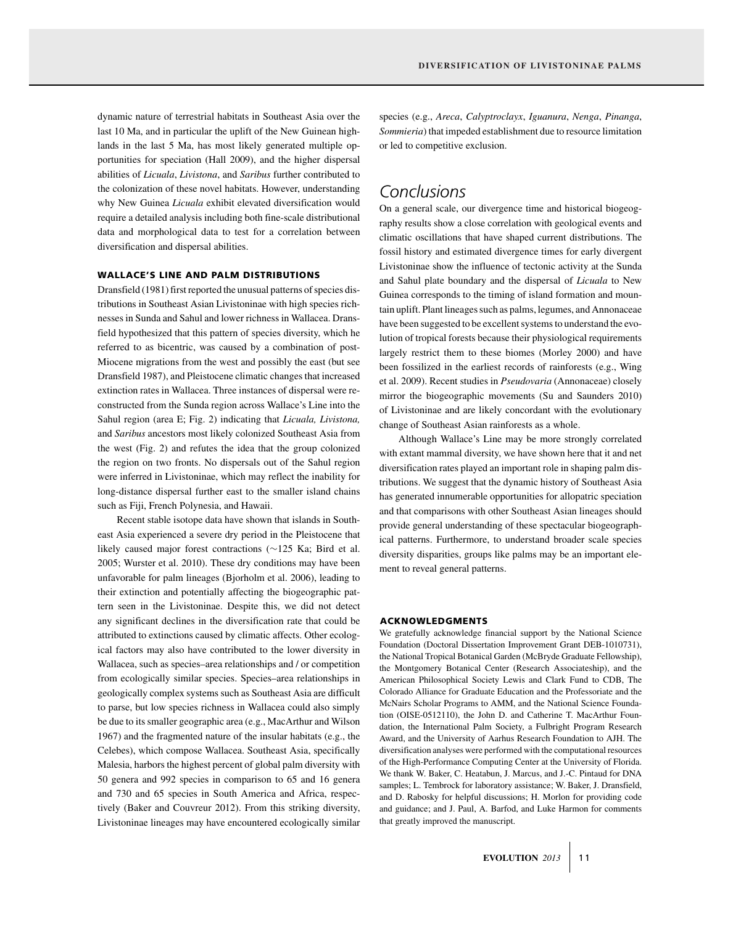dynamic nature of terrestrial habitats in Southeast Asia over the last 10 Ma, and in particular the uplift of the New Guinean highlands in the last 5 Ma, has most likely generated multiple opportunities for speciation (Hall 2009), and the higher dispersal abilities of *Licuala*, *Livistona*, and *Saribus* further contributed to the colonization of these novel habitats. However, understanding why New Guinea *Licuala* exhibit elevated diversification would require a detailed analysis including both fine-scale distributional data and morphological data to test for a correlation between diversification and dispersal abilities.

### **WALLACE'S LINE AND PALM DISTRIBUTIONS**

Dransfield (1981) first reported the unusual patterns of species distributions in Southeast Asian Livistoninae with high species richnesses in Sunda and Sahul and lower richness in Wallacea. Dransfield hypothesized that this pattern of species diversity, which he referred to as bicentric, was caused by a combination of post-Miocene migrations from the west and possibly the east (but see Dransfield 1987), and Pleistocene climatic changes that increased extinction rates in Wallacea. Three instances of dispersal were reconstructed from the Sunda region across Wallace's Line into the Sahul region (area E; Fig. 2) indicating that *Licuala, Livistona,* and *Saribus* ancestors most likely colonized Southeast Asia from the west (Fig. 2) and refutes the idea that the group colonized the region on two fronts. No dispersals out of the Sahul region were inferred in Livistoninae, which may reflect the inability for long-distance dispersal further east to the smaller island chains such as Fiji, French Polynesia, and Hawaii.

Recent stable isotope data have shown that islands in Southeast Asia experienced a severe dry period in the Pleistocene that likely caused major forest contractions (∼125 Ka; Bird et al. 2005; Wurster et al. 2010). These dry conditions may have been unfavorable for palm lineages (Bjorholm et al. 2006), leading to their extinction and potentially affecting the biogeographic pattern seen in the Livistoninae. Despite this, we did not detect any significant declines in the diversification rate that could be attributed to extinctions caused by climatic affects. Other ecological factors may also have contributed to the lower diversity in Wallacea, such as species–area relationships and / or competition from ecologically similar species. Species–area relationships in geologically complex systems such as Southeast Asia are difficult to parse, but low species richness in Wallacea could also simply be due to its smaller geographic area (e.g., MacArthur and Wilson 1967) and the fragmented nature of the insular habitats (e.g., the Celebes), which compose Wallacea. Southeast Asia, specifically Malesia, harbors the highest percent of global palm diversity with 50 genera and 992 species in comparison to 65 and 16 genera and 730 and 65 species in South America and Africa, respectively (Baker and Couvreur 2012). From this striking diversity, Livistoninae lineages may have encountered ecologically similar

species (e.g., *Areca*, *Calyptroclayx*, *Iguanura*, *Nenga*, *Pinanga*, *Sommieria*) that impeded establishment due to resource limitation or led to competitive exclusion.

# *Conclusions*

On a general scale, our divergence time and historical biogeography results show a close correlation with geological events and climatic oscillations that have shaped current distributions. The fossil history and estimated divergence times for early divergent Livistoninae show the influence of tectonic activity at the Sunda and Sahul plate boundary and the dispersal of *Licuala* to New Guinea corresponds to the timing of island formation and mountain uplift. Plant lineages such as palms, legumes, and Annonaceae have been suggested to be excellent systems to understand the evolution of tropical forests because their physiological requirements largely restrict them to these biomes (Morley 2000) and have been fossilized in the earliest records of rainforests (e.g., Wing et al. 2009). Recent studies in *Pseudovaria* (Annonaceae) closely mirror the biogeographic movements (Su and Saunders 2010) of Livistoninae and are likely concordant with the evolutionary change of Southeast Asian rainforests as a whole.

Although Wallace's Line may be more strongly correlated with extant mammal diversity, we have shown here that it and net diversification rates played an important role in shaping palm distributions. We suggest that the dynamic history of Southeast Asia has generated innumerable opportunities for allopatric speciation and that comparisons with other Southeast Asian lineages should provide general understanding of these spectacular biogeographical patterns. Furthermore, to understand broader scale species diversity disparities, groups like palms may be an important element to reveal general patterns.

#### **ACKNOWLEDGMENTS**

We gratefully acknowledge financial support by the National Science Foundation (Doctoral Dissertation Improvement Grant DEB-1010731), the National Tropical Botanical Garden (McBryde Graduate Fellowship), the Montgomery Botanical Center (Research Associateship), and the American Philosophical Society Lewis and Clark Fund to CDB, The Colorado Alliance for Graduate Education and the Professoriate and the McNairs Scholar Programs to AMM, and the National Science Foundation (OISE-0512110), the John D. and Catherine T. MacArthur Foundation, the International Palm Society, a Fulbright Program Research Award, and the University of Aarhus Research Foundation to AJH. The diversification analyses were performed with the computational resources of the High-Performance Computing Center at the University of Florida. We thank W. Baker, C. Heatabun, J. Marcus, and J.-C. Pintaud for DNA samples; L. Tembrock for laboratory assistance; W. Baker, J. Dransfield, and D. Rabosky for helpful discussions; H. Morlon for providing code and guidance; and J. Paul, A. Barfod, and Luke Harmon for comments that greatly improved the manuscript.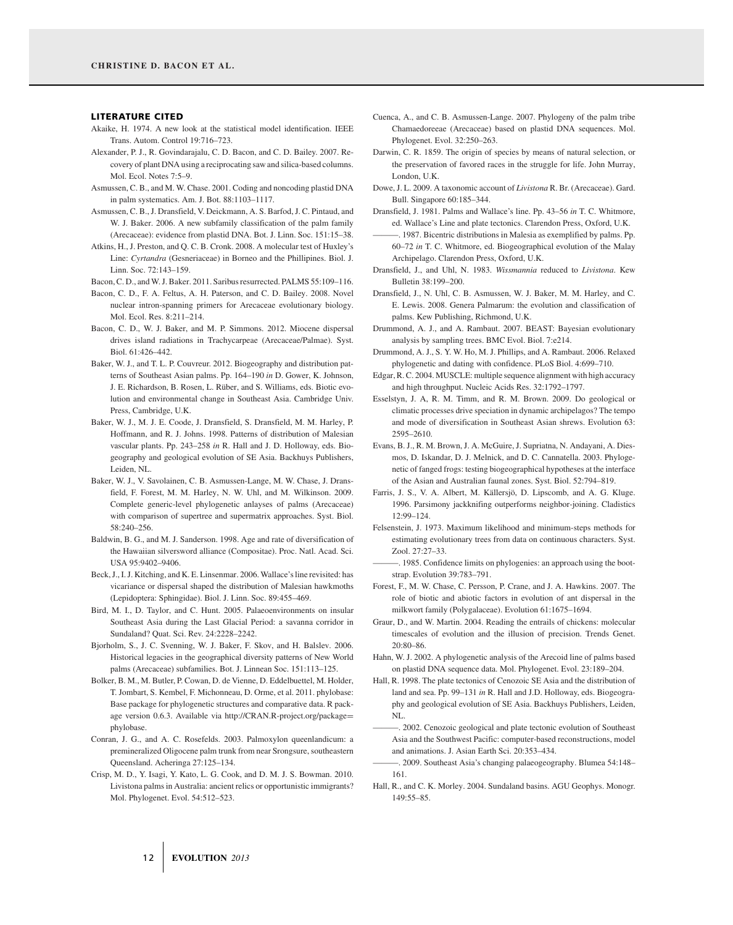#### **LITERATURE CITED**

- Akaike, H. 1974. A new look at the statistical model identification. IEEE Trans. Autom. Control 19:716–723.
- Alexander, P. J., R. Govindarajalu, C. D. Bacon, and C. D. Bailey. 2007. Recovery of plant DNA using a reciprocating saw and silica-based columns. Mol. Ecol. Notes 7:5–9.
- Asmussen, C. B., and M. W. Chase. 2001. Coding and noncoding plastid DNA in palm systematics. Am. J. Bot. 88:1103–1117.
- Asmussen, C. B., J. Dransfield, V. Deickmann, A. S. Barfod, J. C. Pintaud, and W. J. Baker. 2006. A new subfamily classification of the palm family (Arecaceae): evidence from plastid DNA. Bot. J. Linn. Soc. 151:15–38.
- Atkins, H., J. Preston, and Q. C. B. Cronk. 2008. A molecular test of Huxley's Line: *Cyrtandra* (Gesneriaceae) in Borneo and the Phillipines. Biol. J. Linn. Soc. 72:143–159.
- Bacon, C. D., and W. J. Baker. 2011. Saribus resurrected. PALMS 55:109–116.
- Bacon, C. D., F. A. Feltus, A. H. Paterson, and C. D. Bailey. 2008. Novel nuclear intron-spanning primers for Arecaceae evolutionary biology. Mol. Ecol. Res. 8:211–214.
- Bacon, C. D., W. J. Baker, and M. P. Simmons. 2012. Miocene dispersal drives island radiations in Trachycarpeae (Arecaceae/Palmae). Syst. Biol. 61:426–442.
- Baker, W. J., and T. L. P. Couvreur. 2012. Biogeography and distribution patterns of Southeast Asian palms. Pp. 164–190 *in* D. Gower, K. Johnson, J. E. Richardson, B. Rosen, L. Rüber, and S. Williams, eds. Biotic evolution and environmental change in Southeast Asia. Cambridge Univ. Press, Cambridge, U.K.
- Baker, W. J., M. J. E. Coode, J. Dransfield, S. Dransfield, M. M. Harley, P. Hoffmann, and R. J. Johns. 1998. Patterns of distribution of Malesian vascular plants. Pp. 243–258 *in* R. Hall and J. D. Holloway, eds. Biogeography and geological evolution of SE Asia. Backhuys Publishers, Leiden, NL.
- Baker, W. J., V. Savolainen, C. B. Asmussen-Lange, M. W. Chase, J. Dransfield, F. Forest, M. M. Harley, N. W. Uhl, and M. Wilkinson. 2009. Complete generic-level phylogenetic anlayses of palms (Arecaceae) with comparison of supertree and supermatrix approaches. Syst. Biol. 58:240–256.
- Baldwin, B. G., and M. J. Sanderson. 1998. Age and rate of diversification of the Hawaiian silversword alliance (Compositae). Proc. Natl. Acad. Sci. USA 95:9402–9406.
- Beck, J., I. J. Kitching, and K. E. Linsenmar. 2006. Wallace's line revisited: has vicariance or dispersal shaped the distribution of Malesian hawkmoths (Lepidoptera: Sphingidae). Biol. J. Linn. Soc. 89:455–469.
- Bird, M. I., D. Taylor, and C. Hunt. 2005. Palaeoenvironments on insular Southeast Asia during the Last Glacial Period: a savanna corridor in Sundaland? Quat. Sci. Rev. 24:2228–2242.
- Bjorholm, S., J. C. Svenning, W. J. Baker, F. Skov, and H. Balslev. 2006. Historical legacies in the geographical diversity patterns of New World palms (Arecaceae) subfamilies. Bot. J. Linnean Soc. 151:113–125.
- Bolker, B. M., M. Butler, P. Cowan, D. de Vienne, D. Eddelbuettel, M. Holder, T. Jombart, S. Kembel, F. Michonneau, D. Orme, et al. 2011. phylobase: Base package for phylogenetic structures and comparative data. R package version 0.6.3. Available via http://CRAN.R-project.org/package= phylobase.
- Conran, J. G., and A. C. Rosefelds. 2003. Palmoxylon queenlandicum: a premineralized Oligocene palm trunk from near Srongsure, southeastern Queensland. Acheringa 27:125–134.
- Crisp, M. D., Y. Isagi, Y. Kato, L. G. Cook, and D. M. J. S. Bowman. 2010. Livistona palms in Australia: ancient relics or opportunistic immigrants? Mol. Phylogenet. Evol. 54:512–523.
- Cuenca, A., and C. B. Asmussen-Lange. 2007. Phylogeny of the palm tribe Chamaedoreeae (Arecaceae) based on plastid DNA sequences. Mol. Phylogenet. Evol. 32:250–263.
- Darwin, C. R. 1859. The origin of species by means of natural selection, or the preservation of favored races in the struggle for life. John Murray, London, U.K.
- Dowe, J. L. 2009. A taxonomic account of *Livistona* R. Br. (Arecaceae). Gard. Bull. Singapore 60:185–344.
- Dransfield, J. 1981. Palms and Wallace's line. Pp. 43–56 *in* T. C. Whitmore, ed. Wallace's Line and plate tectonics. Clarendon Press, Oxford, U.K.
- -. 1987. Bicentric distributions in Malesia as exemplified by palms. Pp. 60–72 *in* T. C. Whitmore, ed. Biogeographical evolution of the Malay Archipelago. Clarendon Press, Oxford, U.K.
- Dransfield, J., and Uhl, N. 1983. *Wissmannia* reduced to *Livistona*. Kew Bulletin 38:199–200.
- Dransfield, J., N. Uhl, C. B. Asmussen, W. J. Baker, M. M. Harley, and C. E. Lewis. 2008. Genera Palmarum: the evolution and classification of palms. Kew Publishing, Richmond, U.K.
- Drummond, A. J., and A. Rambaut. 2007. BEAST: Bayesian evolutionary analysis by sampling trees. BMC Evol. Biol. 7:e214.
- Drummond, A. J., S. Y. W. Ho, M. J. Phillips, and A. Rambaut. 2006. Relaxed phylogenetic and dating with confidence. PLoS Biol. 4:699–710.
- Edgar, R. C. 2004. MUSCLE: multiple sequence alignment with high accuracy and high throughput. Nucleic Acids Res. 32:1792–1797.
- Esselstyn, J. A, R. M. Timm, and R. M. Brown. 2009. Do geological or climatic processes drive speciation in dynamic archipelagos? The tempo and mode of diversification in Southeast Asian shrews. Evolution 63: 2595–2610.
- Evans, B. J., R. M. Brown, J. A. McGuire, J. Supriatna, N. Andayani, A. Diesmos, D. Iskandar, D. J. Melnick, and D. C. Cannatella. 2003. Phylogenetic of fanged frogs: testing biogeographical hypotheses at the interface of the Asian and Australian faunal zones. Syst. Biol. 52:794–819.
- Farris, J. S., V. A. Albert, M. Källersjö, D. Lipscomb, and A. G. Kluge. 1996. Parsimony jackknifing outperforms neighbor-joining. Cladistics 12:99–124.
- Felsenstein, J. 1973. Maximum likelihood and minimum-steps methods for estimating evolutionary trees from data on continuous characters. Syst. Zool. 27:27–33.
- -. 1985. Confidence limits on phylogenies: an approach using the bootstrap. Evolution 39:783–791.
- Forest, F., M. W. Chase, C. Persson, P. Crane, and J. A. Hawkins. 2007. The role of biotic and abiotic factors in evolution of ant dispersal in the milkwort family (Polygalaceae). Evolution 61:1675–1694.
- Graur, D., and W. Martin. 2004. Reading the entrails of chickens: molecular timescales of evolution and the illusion of precision. Trends Genet. 20:80–86.
- Hahn, W. J. 2002. A phylogenetic analysis of the Arecoid line of palms based on plastid DNA sequence data. Mol. Phylogenet. Evol. 23:189–204.
- Hall, R. 1998. The plate tectonics of Cenozoic SE Asia and the distribution of land and sea. Pp. 99–131 *in* R. Hall and J.D. Holloway, eds. Biogeography and geological evolution of SE Asia. Backhuys Publishers, Leiden, NL.
	- -. 2002. Cenozoic geological and plate tectonic evolution of Southeast Asia and the Southwest Pacific: computer-based reconstructions, model and animations. J. Asian Earth Sci. 20:353–434.

-. 2009. Southeast Asia's changing palaeogeography. Blumea 54:148-161.

Hall, R., and C. K. Morley. 2004. Sundaland basins. AGU Geophys. Monogr. 149:55–85.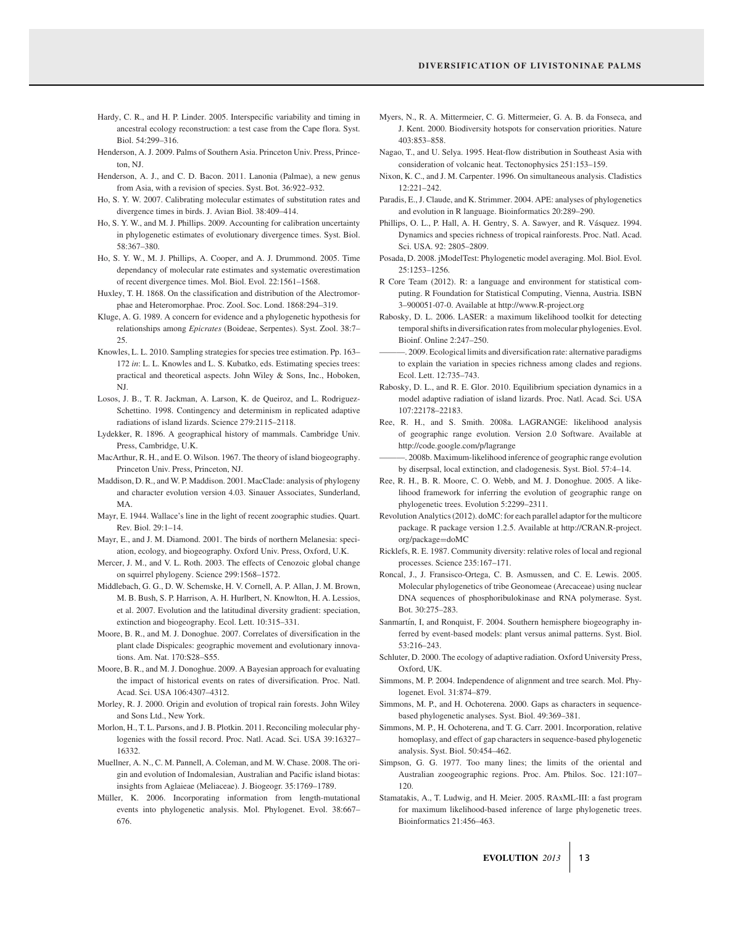- Hardy, C. R., and H. P. Linder. 2005. Interspecific variability and timing in ancestral ecology reconstruction: a test case from the Cape flora. Syst. Biol. 54:299–316.
- Henderson, A. J. 2009. Palms of Southern Asia. Princeton Univ. Press, Princeton, NJ.
- Henderson, A. J., and C. D. Bacon. 2011. Lanonia (Palmae), a new genus from Asia, with a revision of species. Syst. Bot. 36:922–932.
- Ho, S. Y. W. 2007. Calibrating molecular estimates of substitution rates and divergence times in birds. J. Avian Biol. 38:409–414.
- Ho, S. Y. W., and M. J. Phillips. 2009. Accounting for calibration uncertainty in phylogenetic estimates of evolutionary divergence times. Syst. Biol. 58:367–380.
- Ho, S. Y. W., M. J. Phillips, A. Cooper, and A. J. Drummond. 2005. Time dependancy of molecular rate estimates and systematic overestimation of recent divergence times. Mol. Biol. Evol. 22:1561–1568.
- Huxley, T. H. 1868. On the classification and distribution of the Alectromorphae and Heteromorphae. Proc. Zool. Soc. Lond. 1868:294–319.
- Kluge, A. G. 1989. A concern for evidence and a phylogenetic hypothesis for relationships among *Epicrates* (Boideae, Serpentes). Syst. Zool. 38:7– 25.
- Knowles, L. L. 2010. Sampling strategies for species tree estimation. Pp. 163– 172 *in*: L. L. Knowles and L. S. Kubatko, eds. Estimating species trees: practical and theoretical aspects. John Wiley & Sons, Inc., Hoboken, NJ.
- Losos, J. B., T. R. Jackman, A. Larson, K. de Queiroz, and L. Rodriguez-Schettino. 1998. Contingency and determinism in replicated adaptive radiations of island lizards. Science 279:2115–2118.
- Lydekker, R. 1896. A geographical history of mammals. Cambridge Univ. Press, Cambridge, U.K.
- MacArthur, R. H., and E. O. Wilson. 1967. The theory of island biogeography. Princeton Univ. Press, Princeton, NJ.
- Maddison, D. R., and W. P. Maddison. 2001. MacClade: analysis of phylogeny and character evolution version 4.03. Sinauer Associates, Sunderland, MA.
- Mayr, E. 1944. Wallace's line in the light of recent zoographic studies. Quart. Rev. Biol. 29:1–14.
- Mayr, E., and J. M. Diamond. 2001. The birds of northern Melanesia: speciation, ecology, and biogeography. Oxford Univ. Press, Oxford, U.K.
- Mercer, J. M., and V. L. Roth. 2003. The effects of Cenozoic global change on squirrel phylogeny. Science 299:1568–1572.
- Middlebach, G. G., D. W. Schemske, H. V. Cornell, A. P. Allan, J. M. Brown, M. B. Bush, S. P. Harrison, A. H. Hurlbert, N. Knowlton, H. A. Lessios, et al. 2007. Evolution and the latitudinal diversity gradient: speciation, extinction and biogeography. Ecol. Lett. 10:315–331.
- Moore, B. R., and M. J. Donoghue. 2007. Correlates of diversification in the plant clade Dispicales: geographic movement and evolutionary innovations. Am. Nat. 170:S28–S55.
- Moore, B. R., and M. J. Donoghue. 2009. A Bayesian approach for evaluating the impact of historical events on rates of diversification. Proc. Natl. Acad. Sci. USA 106:4307–4312.
- Morley, R. J. 2000. Origin and evolution of tropical rain forests. John Wiley and Sons Ltd., New York.
- Morlon, H., T. L. Parsons, and J. B. Plotkin. 2011. Reconciling molecular phylogenies with the fossil record. Proc. Natl. Acad. Sci. USA 39:16327– 16332.
- Muellner, A. N., C. M. Pannell, A. Coleman, and M. W. Chase. 2008. The origin and evolution of Indomalesian, Australian and Pacific island biotas: insights from Aglaieae (Meliaceae). J. Biogeogr. 35:1769–1789.
- Müller, K. 2006. Incorporating information from length-mutational events into phylogenetic analysis. Mol. Phylogenet. Evol. 38:667– 676.
- Myers, N., R. A. Mittermeier, C. G. Mittermeier, G. A. B. da Fonseca, and J. Kent. 2000. Biodiversity hotspots for conservation priorities. Nature 403:853–858.
- Nagao, T., and U. Selya. 1995. Heat-flow distribution in Southeast Asia with consideration of volcanic heat. Tectonophysics 251:153–159.
- Nixon, K. C., and J. M. Carpenter. 1996. On simultaneous analysis. Cladistics 12:221–242.
- Paradis, E., J. Claude, and K. Strimmer. 2004. APE: analyses of phylogenetics and evolution in R language. Bioinformatics 20:289–290.
- Phillips, O. L., P. Hall, A. H. Gentry, S. A. Sawyer, and R. Vásquez. 1994. Dynamics and species richness of tropical rainforests. Proc. Natl. Acad. Sci. USA. 92: 2805–2809.
- Posada, D. 2008. jModelTest: Phylogenetic model averaging. Mol. Biol. Evol. 25:1253–1256.
- R Core Team (2012). R: a language and environment for statistical computing. R Foundation for Statistical Computing, Vienna, Austria. ISBN 3–900051-07-0. Available at http://www.R-project.org
- Rabosky, D. L. 2006. LASER: a maximum likelihood toolkit for detecting temporal shifts in diversification rates from molecular phylogenies. Evol. Bioinf. Online 2:247–250.
- ———. 2009. Ecological limits and diversification rate: alternative paradigms to explain the variation in species richness among clades and regions. Ecol. Lett. 12:735–743.
- Rabosky, D. L., and R. E. Glor. 2010. Equilibrium speciation dynamics in a model adaptive radiation of island lizards. Proc. Natl. Acad. Sci. USA 107:22178–22183.
- Ree, R. H., and S. Smith. 2008a. LAGRANGE: likelihood analysis of geographic range evolution. Version 2.0 Software. Available at http://code.google.com/p/lagrange
- -. 2008b. Maximum-likelihood inference of geographic range evolution by diserpsal, local extinction, and cladogenesis. Syst. Biol. 57:4–14.
- Ree, R. H., B. R. Moore, C. O. Webb, and M. J. Donoghue. 2005. A likelihood framework for inferring the evolution of geographic range on phylogenetic trees. Evolution 5:2299–2311.
- Revolution Analytics (2012). doMC: for each parallel adaptor for the multicore package. R package version 1.2.5. Available at http://CRAN.R-project. org/package=doMC
- Ricklefs, R. E. 1987. Community diversity: relative roles of local and regional processes. Science 235:167–171.
- Roncal, J., J. Fransisco-Ortega, C. B. Asmussen, and C. E. Lewis. 2005. Molecular phylogenetics of tribe Geonomeae (Arecaceae) using nuclear DNA sequences of phosphoribulokinase and RNA polymerase. Syst. Bot. 30:275–283.
- Sanmartín, I, and Ronquist, F. 2004. Southern hemisphere biogeography inferred by event-based models: plant versus animal patterns. Syst. Biol. 53:216–243.
- Schluter, D. 2000. The ecology of adaptive radiation. Oxford University Press, Oxford, UK.
- Simmons, M. P. 2004. Independence of alignment and tree search. Mol. Phylogenet. Evol. 31:874–879.
- Simmons, M. P., and H. Ochoterena. 2000. Gaps as characters in sequencebased phylogenetic analyses. Syst. Biol. 49:369–381.
- Simmons, M. P., H. Ochoterena, and T. G. Carr. 2001. Incorporation, relative homoplasy, and effect of gap characters in sequence-based phylogenetic analysis. Syst. Biol. 50:454–462.
- Simpson, G. G. 1977. Too many lines; the limits of the oriental and Australian zoogeographic regions. Proc. Am. Philos. Soc. 121:107– 120.
- Stamatakis, A., T. Ludwig, and H. Meier. 2005. RAxML-III: a fast program for maximum likelihood-based inference of large phylogenetic trees. Bioinformatics 21:456–463.